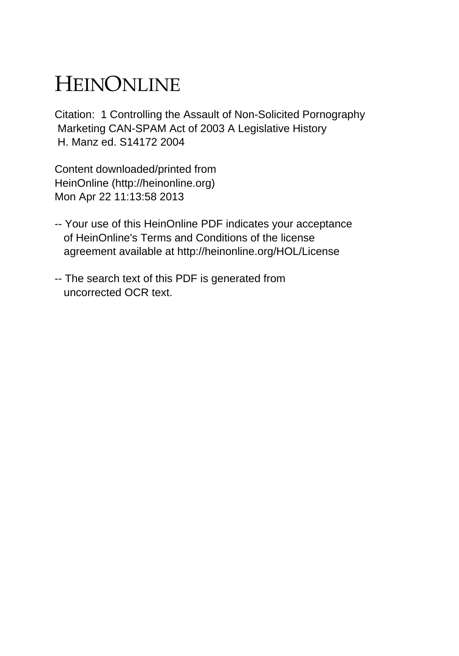## HEINONLINE

Citation: 1 Controlling the Assault of Non-Solicited Pornography Marketing CAN-SPAM Act of 2003 A Legislative History H. Manz ed. S14172 2004

Content downloaded/printed from HeinOnline (http://heinonline.org) Mon Apr 22 11:13:58 2013

- -- Your use of this HeinOnline PDF indicates your acceptance of HeinOnline's Terms and Conditions of the license agreement available at http://heinonline.org/HOL/License
- -- The search text of this PDF is generated from uncorrected OCR text.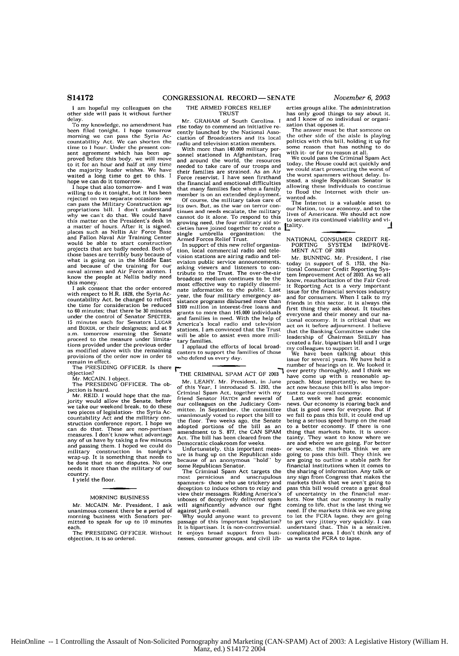**I** am hopeful my colleagues on the other side will pass it without further<br>delay

delay.<br>To my knowledge, no amendment has<br>been filed tonight. I hope tomorrow<br>morning we can pass the Syria Ac-<br>countability Act. We can shorten the<br>time to I hour. Under the present consent agreement which has been ap-<br>proved before this body, we will move<br>to it for an hour and half at any time the majority leader wishes. We have<br>waited a long time to get to this. I<br>hope we can do it tomorrow.<br>I hope that also tomorrow- and I was

willing to do it tonight, but it has been rejected on two separate occasions- we can pass the Military Construction appropriations bill. **I** don't understand why we can't do that. We could have this matter on the President's desk in a matter of hours. After it is signed, places such as Nellis Air Force Base a matter of nours. After it is signed,<br>places such as Nellis Air Force Base<br>and Fallon Naval Air Training Center would be able to start construction projects that are badly needed. Both of those bases are terribly busy because of what is going on in the Middle East and because of the training for our naval airmen and Air Force airmen. I know the people at Nellis badly need this money,

I ask consent that the order entered with respect to H.R. 1828, the Syria Accountability Act, be changed to reflect the time for consideration be reduced to **60** minutes; that there be **30** minutes under the control of Senator SPECTER, **15** minutes each for Senators LUGAR and BOXER, or their designees; and at 9 a.m. tomorrow morning the Senate proceed to the measure under limitations provided under the previous order as modified above with the remaining provisions of the order now in order to remain in effect.

The PRESIDING OFFICER. Is there

objection? Mr. MCCAIN. **I** object.

The PRESIDING OFFICER. The objection is heard.

Mr. REID. I would hope that the ma-jority would allow the Senate, before we take our weekend break, to do these<br>two pieces of legislation- the Syria Accountability Act and the military construction conference report. I hope we can do that. These are non-partisan measures. I don't know what advantage any of us have by taking a few minutes passing them. I hoped we could do military construction in tonight's wrap-up. It is something that needs to be done that no one disputes. No one needs it more than the military of our

country. **I** yield the floor.

## MORNING BUSINESS

Mr. McCAIN. Mr. President, I ask unanimous consent there be a period of morning business with Senators per-mitted to speak for up to **10** minutes each.

The PRESIDING OFFICER. Without objection. it is so ordered.

THE ARMED FORCES RELIEF TRUST

Mr. GRAHAM of South Carolina. **I** rise today to commend an initiative **re**cently launched by the National Association of Broadcasters and its local radio and television station members.

With more than 140.000 military per-sonnel stationed in Afghanistan, Iraq and around the world, the resources needed to take care of our troops and their families are strained, As an Air Force reservist, I have seen firsthand the financial and emotional difficulties that many families face when a family member is on an extended deployment.

Of course, the military takes care of its own. But, as the war on terror continues and needs escalate, the military cannot do it alone. To respond to this growing need, the four military aid societies have joined together to create a single umbrella organization: the Armed Forces Relief Trust.

In support of this new relief organization, local commercial radio and television stations are airing radio and television public service announcements, asking viewers and listeners to con-tribute to the Trust. The over-the-air broadcast medium continues to be the most effective way to rapidly disseminate information to the public. Last year, the four military emergency assistance programs disbursed more than **\$109** million in interest-free loans and grants to more than 145,000 individuals and families in need. With the help of America's local radio and television stations, **I** am convinced that the Trust will be able to assist even more military families.

**I** applaud the efforts of local broadcasters to support the families of those who defend us every day.

## THE CRIMINAL SPAM ACT OF 2003

Mr. LEAHY. Mr. President, in June of this Year, I introduced **S. 1293,** the Criminal Spam Act, together with my friend Senator HATCH and several of our colleagues on the Judiciary Committee. In September, the committee unanimously voted to report the bill to the floor. Two weeks ago, the Senate adopted portions of the bill as an amendment to **S.** 877, the CAN SPAM Act- The bill has been cleared from the Democratic cloakroom for weeks.

Unfortunately, this important measure Is hung up on the Republican side because of an anonymous "hold" by some Republican Senator.

The Criminal Spam Act targets the most pernicious and unscrupulous spammers- those who use trickery and deception to induce others to relay and view their messages. Ridding America's inboxes of deceptively delivered sparn will significantly advance our fight<br>against junk e-mail.<br>Why would anyone want to prevent

passage of this important legislation? It is bipartisan. It is non-controversial. It enjoys broad support from busi-nesses, consumer groups, and civil liberties groups alike. The administration has only good things to say about it, and I know of no individual or organization that opposes it. The answer must be that someone on

the other side of the aisle is playing politics with this bill, holding it up for some reason that has nothing to do<br>with it- or for no reason at all.

with it- or for no reason at all. We could pass the Criminal Spain Act today, the House could act quickly and we could start prosecuting the worst of the worst spammers without delay. Instead, a single Republican Senator is allowing these individuals to continue to flood the Internet with their un-<br>wanted ads.

The Internet is a valuable asset to our Nation, to our economy, and to the lives of Americans. We should act now to secure its continued viability and vitality. **-1**

NATIONAL CONSUMER CREDIT RE-<br>PORTING SYSTEM IMPROVE-PORTING SYSTEM IMPROVE-MENT ACT OF **2003**

*Mr.* BUNNING. Mr. President, I rise today in support of **S. 1753,** the Na-tional Consumer Credit Reporting System Improvement Act of 2003. As we all know, reauthorization of the Fair Cred-It Reporting Act is a very important Issue for the financial services industry and for consumers. When I talk to my friends in this sector, it is always the first thing they ask about. It touches everyone and their money and our national economy. It is critical that we act on it before adjournment. I believe<br>that the Banking Committee under the<br>leadership of Chairman SHELBY has<br>created a fair, bipartisan bill and I urge<br>my colleagues to support it.

We have been talking about this issue for several years. We have held a number of hearings on it. We looked it over pretty thoroughly, and I think we have come up with a reasonable **ap**proach. Most importantly, we have to act now because this bill Is also important to our overall economy<br>Last week we had great

week we had great economic news. Our economy is roaring back and that is good news for everyone. But if we fail to pass this bill, it could end up being a serious speed bump **on** the road to a better economy. If there is one thing that markets hate, it is uncer trainty. They want to know where we<br>car and where we are going. For better<br>or worse, the markets think we are<br>going to pass this bill. They think we<br>are going to outline a stable path for<br>financial institutions when it com financial institutions when it comes to<br>the sharing of information. Any talk or<br>any sign from Congress that makes the markets think that we aren't going to pass this bill would create a great deal of uncertainty in the financial mar-kets. Now that our economy is really coming to life, that is the last thing we need. If the markets think we are going to let the FCRA lapse, they are going to get very jittery very quickly. I can<br>understand that. This is a sensitive,<br>complicated area. I don't think any of<br>us wants the FCRA to lapse.